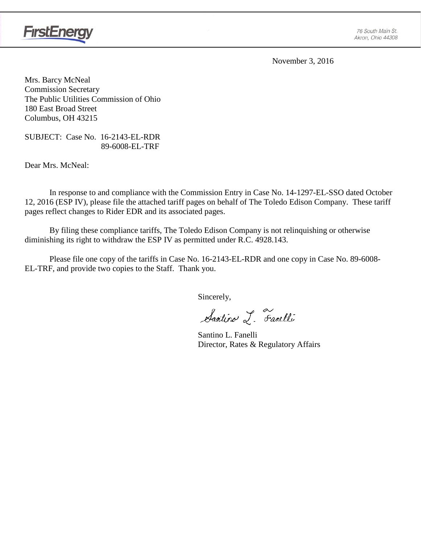

November 3, 2016

Mrs. Barcy McNeal Commission Secretary The Public Utilities Commission of Ohio 180 East Broad Street Columbus, OH 43215

SUBJECT: Case No. 16-2143-EL-RDR 89-6008-EL-TRF

Dear Mrs. McNeal:

In response to and compliance with the Commission Entry in Case No. 14-1297-EL-SSO dated October 12, 2016 (ESP IV), please file the attached tariff pages on behalf of The Toledo Edison Company. These tariff pages reflect changes to Rider EDR and its associated pages.

By filing these compliance tariffs, The Toledo Edison Company is not relinquishing or otherwise diminishing its right to withdraw the ESP IV as permitted under R.C. 4928.143.

Please file one copy of the tariffs in Case No. 16-2143-EL-RDR and one copy in Case No. 89-6008- EL-TRF, and provide two copies to the Staff. Thank you.

Sincerely,

Santino L. Farelli

Santino L. Fanelli Director, Rates & Regulatory Affairs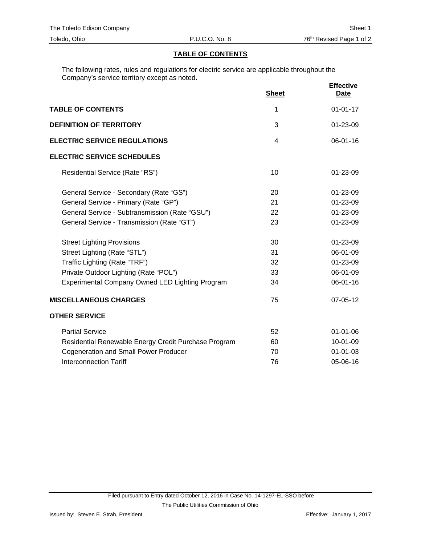## **TABLE OF CONTENTS**

The following rates, rules and regulations for electric service are applicable throughout the Company's service territory except as noted.

|                                                      | <b>Sheet</b> | <b>Effective</b><br><b>Date</b> |
|------------------------------------------------------|--------------|---------------------------------|
| <b>TABLE OF CONTENTS</b>                             | 1            | $01 - 01 - 17$                  |
| <b>DEFINITION OF TERRITORY</b>                       | 3            | 01-23-09                        |
| <b>ELECTRIC SERVICE REGULATIONS</b>                  | 4            | 06-01-16                        |
| <b>ELECTRIC SERVICE SCHEDULES</b>                    |              |                                 |
| Residential Service (Rate "RS")                      | 10           | 01-23-09                        |
| General Service - Secondary (Rate "GS")              | 20           | $01 - 23 - 09$                  |
| General Service - Primary (Rate "GP")                | 21           | 01-23-09                        |
| General Service - Subtransmission (Rate "GSU")       | 22           | 01-23-09                        |
| General Service - Transmission (Rate "GT")           | 23           | 01-23-09                        |
| <b>Street Lighting Provisions</b>                    | 30           | 01-23-09                        |
| Street Lighting (Rate "STL")                         | 31           | 06-01-09                        |
| Traffic Lighting (Rate "TRF")                        | 32           | 01-23-09                        |
| Private Outdoor Lighting (Rate "POL")                | 33           | 06-01-09                        |
| Experimental Company Owned LED Lighting Program      | 34           | 06-01-16                        |
| <b>MISCELLANEOUS CHARGES</b>                         | 75           | 07-05-12                        |
| <b>OTHER SERVICE</b>                                 |              |                                 |
| <b>Partial Service</b>                               | 52           | $01 - 01 - 06$                  |
| Residential Renewable Energy Credit Purchase Program | 60           | 10-01-09                        |
| <b>Cogeneration and Small Power Producer</b>         | 70           | $01 - 01 - 03$                  |
| <b>Interconnection Tariff</b>                        | 76           | 05-06-16                        |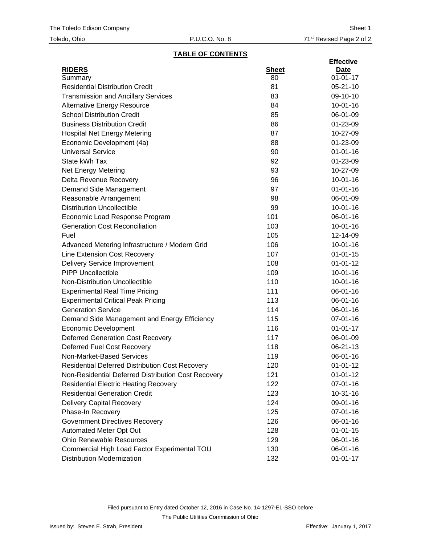# **TABLE OF CONTENTS**

|                                                        |              | <b>Effective</b> |
|--------------------------------------------------------|--------------|------------------|
| <b>RIDERS</b>                                          | <b>Sheet</b> | <u>Date</u>      |
| Summary                                                | 80           | $01 - 01 - 17$   |
| <b>Residential Distribution Credit</b>                 | 81           | $05 - 21 - 10$   |
| <b>Transmission and Ancillary Services</b>             | 83           | 09-10-10         |
| <b>Alternative Energy Resource</b>                     | 84           | $10 - 01 - 16$   |
| <b>School Distribution Credit</b>                      | 85           | 06-01-09         |
| <b>Business Distribution Credit</b>                    | 86           | 01-23-09         |
| <b>Hospital Net Energy Metering</b>                    | 87           | 10-27-09         |
| Economic Development (4a)                              | 88           | 01-23-09         |
| <b>Universal Service</b>                               | 90           | $01 - 01 - 16$   |
| State kWh Tax                                          | 92           | 01-23-09         |
| <b>Net Energy Metering</b>                             | 93           | 10-27-09         |
| Delta Revenue Recovery                                 | 96           | $10 - 01 - 16$   |
| Demand Side Management                                 | 97           | $01 - 01 - 16$   |
| Reasonable Arrangement                                 | 98           | 06-01-09         |
| <b>Distribution Uncollectible</b>                      | 99           | $10-01-16$       |
| Economic Load Response Program                         | 101          | $06 - 01 - 16$   |
| <b>Generation Cost Reconciliation</b>                  | 103          | $10-01-16$       |
| Fuel                                                   | 105          | 12-14-09         |
| Advanced Metering Infrastructure / Modern Grid         | 106          | $10-01-16$       |
| Line Extension Cost Recovery                           | 107          | $01 - 01 - 15$   |
| <b>Delivery Service Improvement</b>                    | 108          | $01 - 01 - 12$   |
| <b>PIPP Uncollectible</b>                              | 109          | $10-01-16$       |
| Non-Distribution Uncollectible                         | 110          | $10 - 01 - 16$   |
| <b>Experimental Real Time Pricing</b>                  | 111          | 06-01-16         |
| <b>Experimental Critical Peak Pricing</b>              | 113          | 06-01-16         |
| <b>Generation Service</b>                              | 114          | 06-01-16         |
| Demand Side Management and Energy Efficiency           | 115          | 07-01-16         |
| <b>Economic Development</b>                            | 116          | $01 - 01 - 17$   |
| <b>Deferred Generation Cost Recovery</b>               | 117          | 06-01-09         |
| <b>Deferred Fuel Cost Recovery</b>                     | 118          | 06-21-13         |
| Non-Market-Based Services                              | 119          | 06-01-16         |
| <b>Residential Deferred Distribution Cost Recovery</b> | 120          | $01 - 01 - 12$   |
| Non-Residential Deferred Distribution Cost Recovery    | 121          | $01 - 01 - 12$   |
| <b>Residential Electric Heating Recovery</b>           | 122          | 07-01-16         |
| <b>Residential Generation Credit</b>                   | 123          | $10-31-16$       |
| <b>Delivery Capital Recovery</b>                       | 124          | 09-01-16         |
| Phase-In Recovery                                      | 125          | 07-01-16         |
| <b>Government Directives Recovery</b>                  | 126          | 06-01-16         |
| Automated Meter Opt Out                                | 128          | $01 - 01 - 15$   |
| <b>Ohio Renewable Resources</b>                        | 129          | 06-01-16         |
| Commercial High Load Factor Experimental TOU           | 130          | 06-01-16         |
| <b>Distribution Modernization</b>                      | 132          | $01 - 01 - 17$   |
|                                                        |              |                  |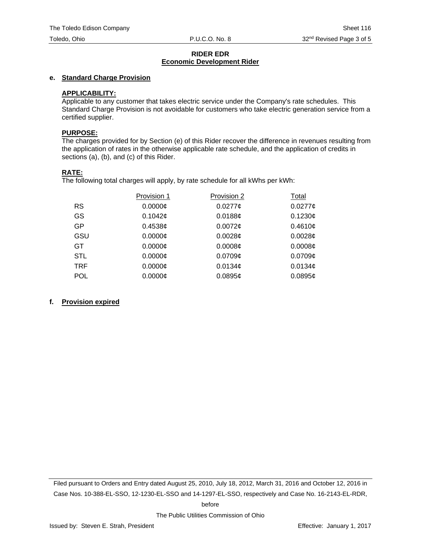#### **RIDER EDR Economic Development Rider**

## **e. Standard Charge Provision**

## **APPLICABILITY:**

Applicable to any customer that takes electric service under the Company's rate schedules. This Standard Charge Provision is not avoidable for customers who take electric generation service from a certified supplier.

#### **PURPOSE:**

The charges provided for by Section (e) of this Rider recover the difference in revenues resulting from the application of rates in the otherwise applicable rate schedule, and the application of credits in sections (a), (b), and (c) of this Rider.

#### **RATE:**

The following total charges will apply, by rate schedule for all kWhs per kWh:

|            | Provision 1 | Provision 2         | Total               |
|------------|-------------|---------------------|---------------------|
| <b>RS</b>  | $0.0000$ ¢  | $0.0277$ ¢          | $0.0277$ ¢          |
| GS         | 0.1042c     | $0.0188$ ¢          | 0.1230¢             |
| GP         | 0.4538c     | $0.0072$ ¢          | 0.4610¢             |
| GSU        | $0.0000$ ¢  | 0.0028c             | 0.00286             |
| GT.        | 0.0000c     | 0.0008c             | 0.0008¢             |
| <b>STL</b> | $0.0000$ ¢  | $0.0709$ ¢          | $0.0709$ ¢          |
| TRF        | $0.0000$ ¢  | 0.0134 <sub>¢</sub> | 0.0134 <sub>¢</sub> |
| <b>POL</b> | $0.0000$ ¢  | 0.0895c             | 0.0895c             |

# **f. Provision expired**

Filed pursuant to Orders and Entry dated August 25, 2010, July 18, 2012, March 31, 2016 and October 12, 2016 in Case Nos. 10-388-EL-SSO, 12-1230-EL-SSO and 14-1297-EL-SSO, respectively and Case No. 16-2143-EL-RDR,

before